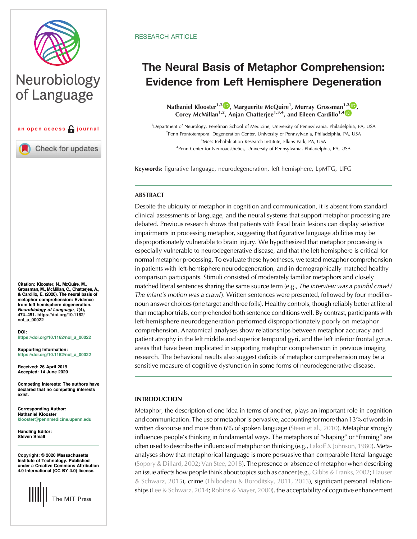

# Neurobiology of Language



**Check for updates** 

Citation: Klooster, N., McQuire, M., Grossman, M., McMillan, C., Chatterjee, A., & Cardillo, E. (2020). The neural basis of metaphor comprehension: Evidence from left hemisphere degeneration.<br>Neurobiology of Language, 1(4), Neurobiology of Language, 1(4), 474–491. [https://doi.org/10.1162/](https://doi.org/10.1162/nol_a_00022) [nol\\_a\\_00022](https://doi.org/10.1162/nol_a_00022)

DOI: [https://doi.org/10.1162/nol\\_a\\_00022](https://doi.org/10.1162/nol_a_00022)

Supporting Information: [https://doi.org/10.1162/nol\\_a\\_00022](https://doi.org/10.1162/nol_a_00022)

Received: 26 April 2019 Accepted: 14 June 2020

Competing Interests: The authors have declared that no competing interests exist.

Corresponding Author: Nathaniel Klooster [klooster@pennmedicine.upenn.edu](mailto:klooster@pennmedicine.upenn.edu)

Handling Editor: Steven Small

Copyright: © 2020 Massachusetts Institute of Technology. Published under a Creative Commons Attribution 4.0 International (CC BY 4.0) license.



## **RESEARCH ARTICLE**

## The Neural Basis of Metaphor Comprehension: Evidence from Left Hemisphere Degeneration

Nathaniel Klooster<sup>1[,](https://orcid.org/0000-0002-9917-0063)[2](https://orcid.org/0000-0002-7447-6218)</sup><sup>1</sup>, Marguerite McQuire<sup>1</sup>, Murray Grossman<sup>1,2</sup><sup>1</sup>, Corey McMillan<sup>1,2</sup>, Anjan Chatterjee<sup>1,3,[4](https://orcid.org/0000-0001-7474-7738)</sup>, and Eileen Cardillo<sup>1,4</sup><sup>(D</sup>)

<sup>1</sup>Department of Neurology, Perelman School of Medicine, University of Pennsylvania, Philadelphia, PA, USA <sup>2</sup> Penn Frontotemporal Degeneration Center, University of Pennsylvania, Philadelphia, PA, USA 3 Moss Rehabilitation Research Institute, Elkins Park, PA, USA <sup>4</sup>Penn Center for Neuroaesthetics, University of Pennsylvania, Philadelphia, PA, USA

Keywords: figurative language, neurodegeneration, left hemisphere, LpMTG, LIFG

## **ABSTRACT**

Despite the ubiquity of metaphor in cognition and communication, it is absent from standard clinical assessments of language, and the neural systems that support metaphor processing are debated. Previous research shows that patients with focal brain lesions can display selective impairments in processing metaphor, suggesting that figurative language abilities may be disproportionately vulnerable to brain injury. We hypothesized that metaphor processing is especially vulnerable to neurodegenerative disease, and that the left hemisphere is critical for normal metaphor processing. To evaluate these hypotheses, we tested metaphor comprehension in patients with left-hemisphere neurodegeneration, and in demographically matched healthy comparison participants. Stimuli consisted of moderately familiar metaphors and closely matched literal sentences sharing the same source term (e.g., The interview was a painful crawl / The infant's motion was a crawl). Written sentences were presented, followed by four modifiernoun answer choices (one target and three foils). Healthy controls, though reliably better at literal than metaphor trials, comprehended both sentence conditions well. By contrast, participants with left-hemisphere neurodegeneration performed disproportionately poorly on metaphor comprehension. Anatomical analyses show relationships between metaphor accuracy and patient atrophy in the left middle and superior temporal gyri, and the left inferior frontal gyrus, areas that have been implicated in supporting metaphor comprehension in previous imaging research. The behavioral results also suggest deficits of metaphor comprehension may be a sensitive measure of cognitive dysfunction in some forms of neurodegenerative disease.

## INTRODUCTION

Metaphor, the description of one idea in terms of another, plays an important role in cognition and communication. The use of metaphor is pervasive, accounting for more than 13% of words in written discourse and more than 6% of spoken language ([Steen et al., 2010\)](#page-17-0). Metaphor strongly influences people's thinking in fundamental ways. The metaphors of "shaping" or "framing" are often used to describe the influence of metaphor on thinking (e.g., [Lakoff & Johnson, 1980\)](#page-16-0). Metaanalyses show that metaphorical language is more persuasive than comparable literal language ([Sopory & Dillard, 2002;](#page-17-0) [Van Stee, 2018](#page-17-0)). The presence or absence of metaphor when describing an issue affects how people think about topics such as cancer (e.g., [Gibbs & Franks, 2002](#page-16-0); [Hauser](#page-16-0) [& Schwarz, 2015\)](#page-16-0), crime [\(Thibodeau & Boroditsky, 2011,](#page-17-0) [2013](#page-17-0)), significant personal relation-ships [\(Lee & Schwarz, 2014](#page-16-0); [Robins & Mayer, 2000](#page-17-0)), the acceptability of cognitive enhancement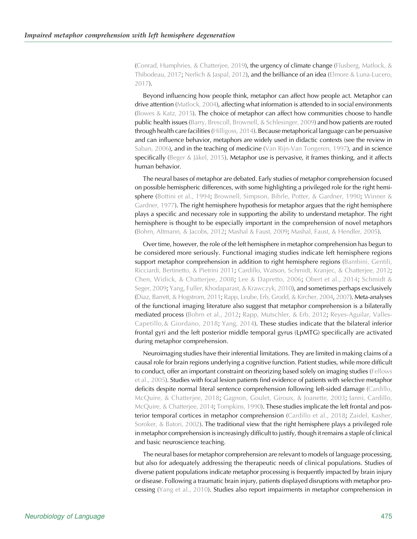([Conrad, Humphries, & Chatterjee, 2019](#page-15-0)), the urgency of climate change [\(Flusberg, Matlock, &](#page-16-0) [Thibodeau, 2017;](#page-16-0) [Nerlich & Jaspal, 2012](#page-16-0)), and the brilliance of an idea [\(Elmore & Luna-Lucero,](#page-15-0) [2017\)](#page-15-0).

Beyond influencing how people think, metaphor can affect how people act. Metaphor can drive attention ([Matlock, 2004\)](#page-16-0), affecting what information is attended to in social environments ([Bowes & Katz, 2015\)](#page-15-0). The choice of metaphor can affect how communities choose to handle public health issues ([Barry, Brescoll, Brownell, & Schlesinger, 2009\)](#page-15-0) and how patients are routed through health care facilities ([Hilligoss, 2014](#page-16-0)). Because metaphorical language can be persuasive and can influence behavior, metaphors are widely used in didactic contexts (see the review in [Saban, 2006](#page-17-0)), and in the teaching of medicine [\(Van Rijn-Van Tongeren, 1997\)](#page-17-0), and in science specifically ([Beger & Jäkel, 2015\)](#page-15-0). Metaphor use is pervasive, it frames thinking, and it affects human behavior.

The neural bases of metaphor are debated. Early studies of metaphor comprehension focused on possible hemispheric differences, with some highlighting a privileged role for the right hemisphere ([Bottini et al., 1994;](#page-15-0) [Brownell, Simpson, Bihrle, Potter, & Gardner, 1990;](#page-15-0) [Winner &](#page-17-0) [Gardner, 1977\)](#page-17-0). The right hemisphere hypothesis for metaphor argues that the right hemisphere plays a specific and necessary role in supporting the ability to understand metaphor. The right hemisphere is thought to be especially important in the comprehension of novel metaphors ([Bohrn, Altmann, & Jacobs, 2012;](#page-15-0) [Mashal & Faust, 2009](#page-16-0); [Mashal, Faust, & Hendler, 2005\)](#page-16-0).

Over time, however, the role of the left hemisphere in metaphor comprehension has begun to be considered more seriously. Functional imaging studies indicate left hemisphere regions support metaphor comprehension in addition to right hemisphere regions ([Bambini, Gentili,](#page-15-0) [Ricciardi, Bertinetto, & Pietrini 2011](#page-15-0); [Cardillo, Watson, Schmidt, Kranjec, & Chatterjee, 2012](#page-15-0); [Chen, Widick, & Chatterjee, 2008](#page-15-0); [Lee & Dapretto, 2006](#page-16-0); [Obert et al., 2014;](#page-16-0) [Schmidt &](#page-17-0) [Seger, 2009;](#page-17-0) [Yang, Fuller, Khodaparast, & Krawczyk, 2010](#page-17-0)), and sometimes perhaps exclusively [\(Diaz, Barrett, & Hogstrom, 2011](#page-15-0); [Rapp, Leube, Erb, Grodd, & Kircher, 2004](#page-16-0), [2007\)](#page-16-0). Meta-analyses of the functional imaging literature also suggest that metaphor comprehension is a bilaterally mediated process ([Bohrn et al., 2012;](#page-15-0) [Rapp, Mutschler, & Erb, 2012;](#page-16-0) [Reyes-Aguilar, Valles-](#page-17-0)[Capetillo,& Giordano, 2018](#page-17-0); [Yang, 2014\)](#page-17-0). These studies indicate that the bilateral inferior frontal gyri and the left posterior middle temporal gyrus (LpMTG) specifically are activated during metaphor comprehension.

Neuroimaging studies have their inferential limitations. They are limited in making claims of a causal role for brain regions underlying a cognitive function. Patient studies, while more difficult to conduct, offer an important constraint on theorizing based solely on imaging studies [\(Fellows](#page-15-0) [et al., 2005\)](#page-15-0). Studies with focal lesion patients find evidence of patients with selective metaphor deficits despite normal literal sentence comprehension following left-sided damage [\(Cardillo,](#page-15-0) [McQuire, & Chatterjee, 2018](#page-15-0); [Gagnon, Goulet, Giroux, & Joanette, 2003](#page-16-0); [Ianni, Cardillo,](#page-16-0) [McQuire, & Chatterjee, 2014](#page-16-0); [Tompkins, 1990](#page-17-0)). These studies implicate the left frontal and pos-terior temporal cortices in metaphor comprehension ([Cardillo et al., 2018;](#page-15-0) [Zaidel, Kasher,](#page-17-0) [Soroker, & Batori, 2002](#page-17-0)). The traditional view that the right hemisphere plays a privileged role in metaphor comprehension is increasingly difficult to justify, though it remains a staple of clinical and basic neuroscience teaching.

The neural bases for metaphor comprehension are relevant to models of language processing, but also for adequately addressing the therapeutic needs of clinical populations. Studies of diverse patient populations indicate metaphor processing is frequently impacted by brain injury or disease. Following a traumatic brain injury, patients displayed disruptions with metaphor processing ([Yang et al., 2010](#page-17-0)). Studies also report impairments in metaphor comprehension in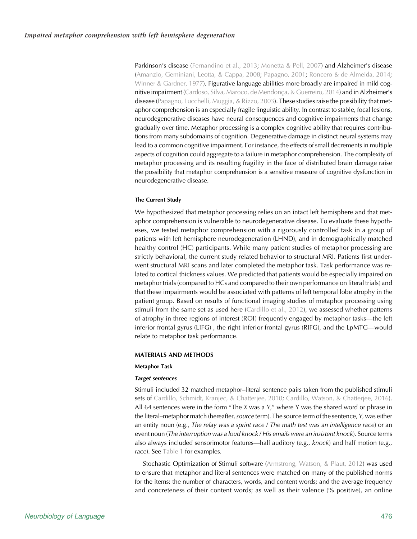Parkinson's disease [\(Fernandino et al., 2013](#page-15-0); [Monetta & Pell, 2007\)](#page-16-0) and Alzheimer's disease ([Amanzio, Geminiani, Leotta, & Cappa, 2008](#page-15-0); [Papagno, 2001;](#page-16-0) [Roncero & de Almeida, 2014](#page-17-0); [Winner & Gardner, 1977](#page-17-0)). Figurative language abilities more broadly are impaired in mild cog-nitive impairment ([Cardoso, Silva, Maroco, de Mendonça, & Guerreiro, 2014](#page-15-0)) and in Alzheimer's disease [\(Papagno, Lucchelli, Muggia, & Rizzo, 2003\)](#page-16-0). These studies raise the possibility that metaphor comprehension is an especially fragile linguistic ability. In contrast to stable, focal lesions, neurodegenerative diseases have neural consequences and cognitive impairments that change gradually over time. Metaphor processing is a complex cognitive ability that requires contributions from many subdomains of cognition. Degenerative damage in distinct neural systems may lead to a common cognitive impairment. For instance, the effects of small decrements in multiple aspects of cognition could aggregate to a failure in metaphor comprehension. The complexity of metaphor processing and its resulting fragility in the face of distributed brain damage raise the possibility that metaphor comprehension is a sensitive measure of cognitive dysfunction in neurodegenerative disease.

## The Current Study

We hypothesized that metaphor processing relies on an intact left hemisphere and that metaphor comprehension is vulnerable to neurodegenerative disease. To evaluate these hypotheses, we tested metaphor comprehension with a rigorously controlled task in a group of patients with left hemisphere neurodegeneration (LHND), and in demographically matched healthy control (HC) participants. While many patient studies of metaphor processing are strictly behavioral, the current study related behavior to structural MRI. Patients first underwent structural MRI scans and later completed the metaphor task. Task performance was related to cortical thickness values. We predicted that patients would be especially impaired on metaphor trials (compared to HCs and compared to their own performance on literal trials) and that these impairments would be associated with patterns of left temporal lobe atrophy in the patient group. Based on results of functional imaging studies of metaphor processing using stimuli from the same set as used here ([Cardillo et al., 2012\)](#page-15-0), we assessed whether patterns of atrophy in three regions of interest (ROI) frequently engaged by metaphor tasks—the left inferior frontal gyrus (LIFG) , the right inferior frontal gyrus (RIFG), and the LpMTG—would relate to metaphor task performance.

### MATERIALS AND METHODS

## Metaphor Task

#### Target sentences

Stimuli included 32 matched metaphor–literal sentence pairs taken from the published stimuli sets of [Cardillo, Schmidt, Kranjec, & Chatterjee, 2010;](#page-15-0) [Cardillo, Watson, & Chatterjee, 2016\)](#page-15-0). All 64 sentences were in the form "The  $X$  was a  $Y$ ," where Y was the shared word or phrase in the literal–metaphor match (hereafter, source term). The source term of the sentence,  $Y$ , was either an entity noun (e.g., The relay was a sprint race / The math test was an intelligence race) or an event noun (The interruption was a loud knock / His emails were an insistent knock). Source terms also always included sensorimotor features—half auditory (e.g., knock) and half motion (e.g., race). See [Table 1](#page-3-0) for examples.

Stochastic Optimization of Stimuli software [\(Armstrong, Watson, & Plaut, 2012\)](#page-15-0) was used to ensure that metaphor and literal sentences were matched on many of the published norms for the items: the number of characters, words, and content words; and the average frequency and concreteness of their content words; as well as their valence (% positive), an online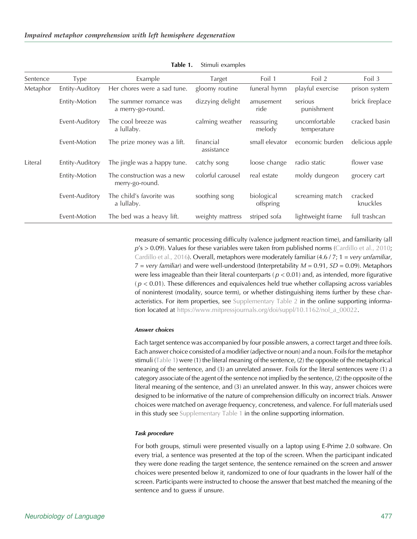<span id="page-3-0"></span>

| Sentence | Type            | Example                                       | Target                  | Foil 1                  | Foil 2                       | Foil 3              |
|----------|-----------------|-----------------------------------------------|-------------------------|-------------------------|------------------------------|---------------------|
| Metaphor | Entity-Auditory | Her chores were a sad tune.                   | gloomy routine          | funeral hymn            | playful exercise             | prison system       |
|          | Entity-Motion   | The summer romance was<br>a merry-go-round.   | dizzying delight        | amusement<br>ride       | serious<br>punishment        | brick fireplace     |
|          | Event-Auditory  | The cool breeze was<br>a lullaby.             | calming weather         | reassuring<br>melody    | uncomfortable<br>temperature | cracked basin       |
|          | Event-Motion    | The prize money was a lift.                   | financial<br>assistance | small elevator          | economic burden              | delicious apple     |
| Literal  | Entity-Auditory | The jingle was a happy tune.                  | catchy song             | loose change            | radio static                 | flower vase         |
|          | Entity-Motion   | The construction was a new<br>merry-go-round. | colorful carousel       | real estate             | moldy dungeon                | grocery cart        |
|          | Event-Auditory  | The child's favorite was<br>a lullaby.        | soothing song           | biological<br>offspring | screaming match              | cracked<br>knuckles |
|          | Event-Motion    | The bed was a heavy lift.                     | weighty mattress        | striped sofa            | lightweight frame            | full trashcan       |

Table 1. Stimuli examples

measure of semantic processing difficulty (valence judgment reaction time), and familiarity (all  $p's > 0.09$ ). Values for these variables were taken from published norms ([Cardillo et al., 2010](#page-15-0); [Cardillo et al., 2016\)](#page-15-0). Overall, metaphors were moderately familiar  $(4.6/7; 1 = \text{very unfamiliar},$  $7 = \text{very familiar}$ ) and were well-understood (Interpretability  $M = 0.91$ ,  $SD = 0.09$ ). Metaphors were less imageable than their literal counterparts ( $p < 0.01$ ) and, as intended, more figurative  $(p < 0.01)$ . These differences and equivalences held true whether collapsing across variables of noninterest (modality, source term), or whether distinguishing items further by these characteristics. For item properties, see [Supplementary Table 2](https://doi.org/10.1162/nol_a_00022) in the online supporting information located at [https://www.mitpressjournals.org/doi/suppl/10.1162/nol\\_a\\_00022](https://www.mitpressjournals.org/doi/suppl/10.1162/nol_a_00022).

#### Answer choices

Each target sentence was accompanied by four possible answers, a correct target and three foils. Each answer choice consisted of a modifier (adjective or noun) and a noun. Foils for the metaphor stimuli (Table 1) were (1) the literal meaning of the sentence, (2) the opposite of the metaphorical meaning of the sentence, and (3) an unrelated answer. Foils for the literal sentences were (1) a category associate of the agent of the sentence not implied by the sentence, (2) the opposite of the literal meaning of the sentence, and (3) an unrelated answer. In this way, answer choices were designed to be informative of the nature of comprehension difficulty on incorrect trials. Answer choices were matched on average frequency, concreteness, and valence. For full materials used in this study see [Supplementary Table 1](https://doi.org/10.1162/nol_a_00022) in the online supporting information.

## Task procedure

For both groups, stimuli were presented visually on a laptop using E-Prime 2.0 software. On every trial, a sentence was presented at the top of the screen. When the participant indicated they were done reading the target sentence, the sentence remained on the screen and answer choices were presented below it, randomized to one of four quadrants in the lower half of the screen. Participants were instructed to choose the answer that best matched the meaning of the sentence and to guess if unsure.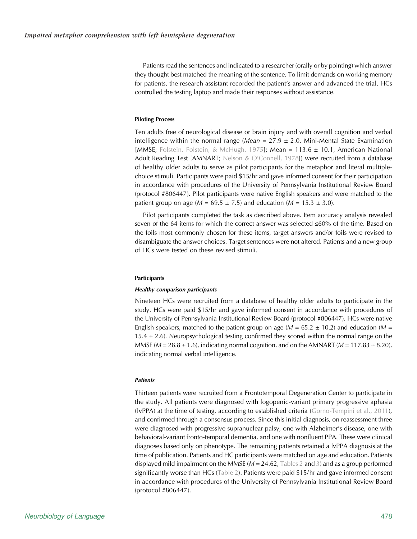Patients read the sentences and indicated to a researcher (orally or by pointing) which answer they thought best matched the meaning of the sentence. To limit demands on working memory for patients, the research assistant recorded the patient's answer and advanced the trial. HCs controlled the testing laptop and made their responses without assistance.

## Piloting Process

Ten adults free of neurological disease or brain injury and with overall cognition and verbal intelligence within the normal range (Mean =  $27.9 \pm 2.0$ , Mini-Mental State Examination [MMSE; [Folstein, Folstein, & McHugh, 1975](#page-16-0)]; Mean = 113.6 ± 10.1, American National Adult Reading Test [AMNART; Nelson & O'[Connell, 1978\]](#page-16-0)) were recruited from a database of healthy older adults to serve as pilot participants for the metaphor and literal multiplechoice stimuli. Participants were paid \$15/hr and gave informed consent for their participation in accordance with procedures of the University of Pennsylvania Institutional Review Board (protocol #806447). Pilot participants were native English speakers and were matched to the patient group on age ( $M = 69.5 \pm 7.5$ ) and education ( $M = 15.3 \pm 3.0$ ).

Pilot participants completed the task as described above. Item accuracy analysis revealed seven of the 64 items for which the correct answer was selected ≤60% of the time. Based on the foils most commonly chosen for these items, target answers and/or foils were revised to disambiguate the answer choices. Target sentences were not altered. Patients and a new group of HCs were tested on these revised stimuli.

#### **Participants**

#### Healthy comparison participants

Nineteen HCs were recruited from a database of healthy older adults to participate in the study. HCs were paid \$15/hr and gave informed consent in accordance with procedures of the University of Pennsylvania Institutional Review Board (protocol #806447). HCs were native English speakers, matched to the patient group on age ( $M = 65.2 \pm 10.2$ ) and education ( $M =$ 15.4  $\pm$  2.6). Neuropsychological testing confirmed they scored within the normal range on the MMSE ( $M = 28.8 \pm 1.6$ ), indicating normal cognition, and on the AMNART ( $M = 117.83 \pm 8.20$ ), indicating normal verbal intelligence.

#### **Patients**

Thirteen patients were recruited from a Frontotemporal Degeneration Center to participate in the study. All patients were diagnosed with logopenic-variant primary progressive aphasia (lvPPA) at the time of testing, according to established criteria ([Gorno-Tempini et al., 2011\)](#page-16-0), and confirmed through a consensus process. Since this initial diagnosis, on reassessment three were diagnosed with progressive supranuclear palsy, one with Alzheimer's disease, one with behavioral-variant fronto-temporal dementia, and one with nonfluent PPA. These were clinical diagnoses based only on phenotype. The remaining patients retained a lvPPA diagnosis at the time of publication. Patients and HC participants were matched on age and education. Patients displayed mild impairment on the MMSE ( $M = 24.62$ , [Tables 2](#page-5-0) and [3\)](#page-6-0) and as a group performed significantly worse than HCs ([Table 2](#page-5-0)). Patients were paid \$15/hr and gave informed consent in accordance with procedures of the University of Pennsylvania Institutional Review Board (protocol #806447).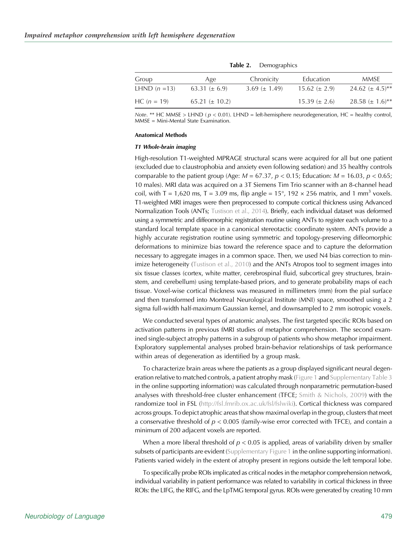<span id="page-5-0"></span>

| Group         | Age               | Chronicity        | Education           | MMSE                            |
|---------------|-------------------|-------------------|---------------------|---------------------------------|
| LHND $(n=13)$ | $63.31 (\pm 6.9)$ | 3.69 $(\pm 1.49)$ | $15.62 \ (\pm 2.9)$ | 24.62 $(\pm 4.5)$ <sup>**</sup> |
| $HC (n = 19)$ | $65.21 \pm 10.2$  |                   | $15.39 \ (\pm 2.6)$ | $28.58 \ (\pm 1.6)^{**}$        |

Table 2. Demographics

Note. \*\* HC MMSE > LHND ( $p < 0.01$ ). LHND = left-hemisphere neurodegeneration, HC = healthy control, MMSE = Mini-Mental State Examination.

## Anatomical Methods

#### T1 Whole-brain imaging

High-resolution T1-weighted MPRAGE structural scans were acquired for all but one patient (excluded due to claustrophobia and anxiety even following sedation) and 35 healthy controls comparable to the patient group (Age:  $M = 67.37$ ,  $p < 0.15$ ; Education:  $M = 16.03$ ,  $p < 0.65$ ; 10 males). MRI data was acquired on a 3T Siemens Tim Trio scanner with an 8-channel head coil, with T = 1,620 ms, T = 3.09 ms, flip angle =  $15^{\circ}$ , 192  $\times$  256 matrix, and 1 mm<sup>3</sup> voxels. T1-weighted MRI images were then preprocessed to compute cortical thickness using Advanced Normalization Tools (ANTs; [Tustison et al., 2014\)](#page-17-0). Briefly, each individual dataset was deformed using a symmetric and diffeomorphic registration routine using ANTs to register each volume to a standard local template space in a canonical stereotactic coordinate system. ANTs provide a highly accurate registration routine using symmetric and topology-preserving diffeomorphic deformations to minimize bias toward the reference space and to capture the deformation necessary to aggregate images in a common space. Then, we used N4 bias correction to minimize heterogeneity ([Tustison et al., 2010](#page-17-0)) and the ANTs Atropos tool to segment images into six tissue classes (cortex, white matter, cerebrospinal fluid, subcortical grey structures, brainstem, and cerebellum) using template-based priors, and to generate probability maps of each tissue. Voxel-wise cortical thickness was measured in millimeters (mm) from the pial surface and then transformed into Montreal Neurological Institute (MNI) space, smoothed using a 2 sigma full-width half-maximum Gaussian kernel, and downsampled to 2 mm isotropic voxels.

We conducted several types of anatomic analyses. The first targeted specific ROIs based on activation patterns in previous fMRI studies of metaphor comprehension. The second examined single-subject atrophy patterns in a subgroup of patients who show metaphor impairment. Exploratory supplemental analyses probed brain-behavior relationships of task performance within areas of degeneration as identified by a group mask.

To characterize brain areas where the patients as a group displayed significant neural degeneration relative to matched controls, a patient atrophy mask [\(Figure 1](#page-7-0) and [Supplementary Table 3](https://doi.org/10.1162/nol_a_00022) in the online supporting information) was calculated through nonparametric permutation-based analyses with threshold-free cluster enhancement (TFCE; [Smith & Nichols, 2009\)](#page-17-0) with the randomize tool in FSL ([http://fsl.fmrib.ox.ac.uk/fsl/fslwiki](https://doi.org/10.1162/nol_a_00022)). Cortical thickness was compared across groups. To depict atrophic areas that show maximal overlap in the group, clusters that meet a conservative threshold of  $p < 0.005$  (family-wise error corrected with TFCE), and contain a minimum of 200 adjacent voxels are reported.

When a more liberal threshold of  $p < 0.05$  is applied, areas of variability driven by smaller subsets of participants are evident [\(Supplementary Figure 1](https://doi.org/10.1162/nol_a_00022) in the online supporting information). Patients varied widely in the extent of atrophy present in regions outside the left temporal lobe.

To specifically probe ROIs implicated as critical nodes in the metaphor comprehension network, individual variability in patient performance was related to variability in cortical thickness in three ROIs: the LIFG, the RIFG, and the LpTMG temporal gyrus. ROIs were generated by creating 10 mm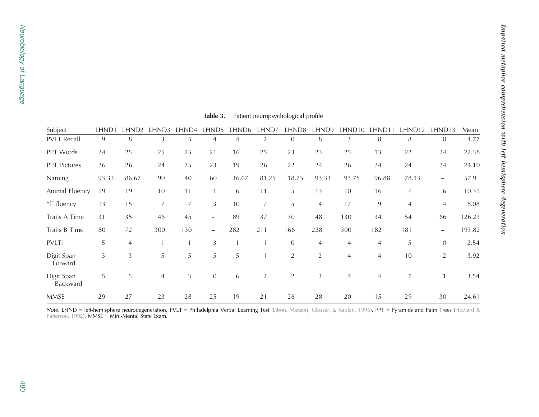<span id="page-6-0"></span>

| Subject                | LHND1 | LHND <sub>2</sub> | LHND3          | LHND4 | LHND5                    | LHND <sub>6</sub> | LHND7          | LHND8          | LHND9          | LHND <sub>10</sub> | lhnd11 | LHND12 | LHND13            | Mean   |
|------------------------|-------|-------------------|----------------|-------|--------------------------|-------------------|----------------|----------------|----------------|--------------------|--------|--------|-------------------|--------|
| <b>PVLT Recall</b>     | 9     | 8                 | 3              | 5     | 4                        | 4                 | $\overline{2}$ | $\mathbf{0}$   | 8              | 3                  | 8      | 8      | $\overline{0}$    | 4.77   |
| PPT Words              | 24    | 25                | 25             | 25    | 21                       | 16                | 25             | 23             | 23             | 25                 | 13     | 22     | 24                | 22.38  |
| PPT Pictures           | 26    | 26                | 24             | 25    | 23                       | 19                | 26             | 22             | 24             | 26                 | 24     | 24     | 24                | 24.10  |
| Naming                 | 93.33 | 86.67             | 90             | 40    | 60                       | 36.67             | 81.25          | 18.75          | 93.33          | 93.75              | 96.88  | 78.13  | $\qquad \qquad -$ | 57.9   |
| Animal Fluency         | 19    | 19                | 10             | 11    |                          | 6                 | 11             | 5              | 13             | 10                 | 16     | 7      | 6                 | 10.31  |
| "f" fluency            | 13    | 15                | 7              | 7     | 3                        | 10                | 7              | 5              | $\overline{4}$ | 17                 | 9      | 4      | $\overline{4}$    | 8.08   |
| Trails A Time          | 31    | 35                | 46             | 45    | $\overline{\phantom{m}}$ | 89                | 37             | 30             | 48             | 130                | 34     | 54     | 66                | 126.23 |
| Trails B Time          | 80    | 72                | 300            | 130   | $\qquad \qquad -$        | 282               | 211            | 166            | 228            | 300                | 182    | 181    | $\qquad \qquad -$ | 193.82 |
| PVLT1                  | 5     | $\overline{4}$    |                |       | 3                        |                   |                | $\overline{0}$ | $\overline{4}$ | $\overline{4}$     | 4      | 5      | $\overline{0}$    | 2.54   |
| Digit Span<br>Forward  | 3     | 3                 | 5              | 5     | 5                        | 5                 | $\mathbf{1}$   | $\overline{2}$ | $\overline{2}$ | $\overline{4}$     | 4      | 10     | 2                 | 3.92   |
| Digit Span<br>Backward | 5     | 5                 | $\overline{4}$ | 3     | $\overline{0}$           | 6                 | $\overline{2}$ | $\overline{2}$ | 3              | $\overline{4}$     | 4      | 7      |                   | 3.54   |
| <b>MMSE</b>            | 29    | 27                | 23             | 28    | 25                       | 19                | 21             | 26             | 28             | 20                 | 15     | 29     | 30                | 24.61  |

**Table 3.** Patient neuropsychological profile

Note. LHND = left-hemisphere neurodegeneration, PVLT = Philadelphia Verbal Learning Test (Libon, [Mattson,](#page-16-0) Glosser, & Kaplan, 1996), PPT = Pyramids and Palm Trees ([Howard](#page-16-0) & [Patterson,](#page-16-0) 1992)**, MMSE = Mini-Mental State Exam.**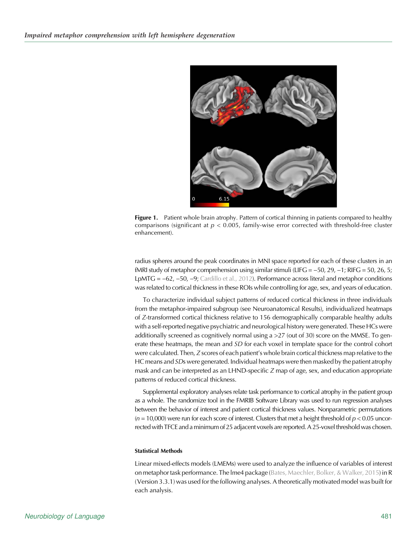<span id="page-7-0"></span>

Figure 1. Patient whole brain atrophy. Pattern of cortical thinning in patients compared to healthy comparisons (significant at  $p < 0.005$ , family-wise error corrected with threshold-free cluster enhancement).

radius spheres around the peak coordinates in MNI space reported for each of these clusters in an fMRI study of metaphor comprehension using similar stimuli (LIFG =  $-50$ , 29,  $-1$ ; RIFG = 50, 26, 5; LpMTG = −62, −50, −9; [Cardillo et al., 2012\)](#page-15-0). Performance across literal and metaphor conditions was related to cortical thickness in these ROIs while controlling for age, sex, and years of education.

To characterize individual subject patterns of reduced cortical thickness in three individuals from the metaphor-impaired subgroup (see Neuroanatomical Results), individualized heatmaps of Z-transformed cortical thickness relative to 156 demographically comparable healthy adults with a self-reported negative psychiatric and neurological history were generated. These HCs were additionally screened as cognitively normal using  $a > 27$  (out of 30) score on the MMSE. To generate these heatmaps, the mean and SD for each voxel in template space for the control cohort were calculated. Then, Z scores of each patient's whole brain cortical thickness map relative to the HC means and  $SDs$  were generated. Individual heatmaps were then masked by the patient atrophy mask and can be interpreted as an LHND-specific Z map of age, sex, and education appropriate patterns of reduced cortical thickness.

Supplemental exploratory analyses relate task performance to cortical atrophy in the patient group as a whole. The randomize tool in the FMRIB Software Library was used to run regression analyses between the behavior of interest and patient cortical thickness values. Nonparametric permutations  $(n = 10,000)$  were run for each score of interest. Clusters that met a height threshold of  $p < 0.05$  uncorrected with TFCE and a minimum of 25 adjacent voxels are reported. A 25-voxel threshold was chosen.

#### Statistical Methods

Linear mixed-effects models (LMEMs) were used to analyze the influence of variables of interest on metaphor task performance. The lme4 package [\(Bates, Maechler, Bolker, & Walker, 2015\)](#page-15-0) in R (Version 3.3.1) was used for the following analyses. A theoretically motivated model was built for each analysis.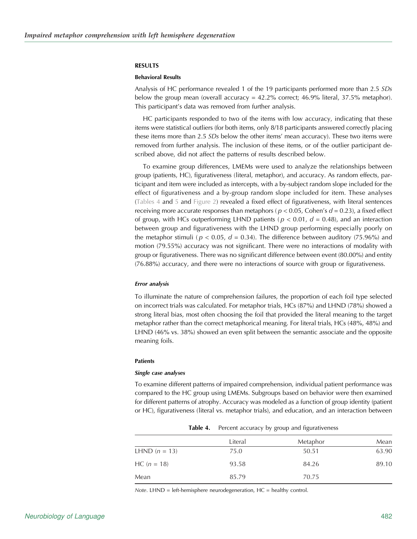#### RESULTS

## Behavioral Results

Analysis of HC performance revealed 1 of the 19 participants performed more than 2.5 SDs below the group mean (overall accuracy  $= 42.2\%$  correct; 46.9% literal, 37.5% metaphor). This participant's data was removed from further analysis.

HC participants responded to two of the items with low accuracy, indicating that these items were statistical outliers (for both items, only 8/18 participants answered correctly placing these items more than 2.5 SDs below the other items' mean accuracy). These two items were removed from further analysis. The inclusion of these items, or of the outlier participant described above, did not affect the patterns of results described below.

To examine group differences, LMEMs were used to analyze the relationships between group (patients, HC), figurativeness (literal, metaphor), and accuracy. As random effects, participant and item were included as intercepts, with a by-subject random slope included for the effect of figurativeness and a by-group random slope included for item. These analyses (Tables 4 and [5](#page-9-0) and [Figure 2\)](#page-9-0) revealed a fixed effect of figurativeness, with literal sentences receiving more accurate responses than metaphors ( $p < 0.05$ , Cohen's  $d = 0.23$ ), a fixed effect of group, with HCs outperforming LHND patients ( $p < 0.01$ ,  $d = 0.48$ ), and an interaction between group and figurativeness with the LHND group performing especially poorly on the metaphor stimuli ( $p < 0.05$ ,  $d = 0.34$ ). The difference between auditory (75.96%) and motion (79.55%) accuracy was not significant. There were no interactions of modality with group or figurativeness. There was no significant difference between event (80.00%) and entity (76.88%) accuracy, and there were no interactions of source with group or figurativeness.

#### Error analysis

To illuminate the nature of comprehension failures, the proportion of each foil type selected on incorrect trials was calculated. For metaphor trials, HCs (87%) and LHND (78%) showed a strong literal bias, most often choosing the foil that provided the literal meaning to the target metaphor rather than the correct metaphorical meaning. For literal trials, HCs (48%, 48%) and LHND (46% vs. 38%) showed an even split between the semantic associate and the opposite meaning foils.

#### Patients

#### Single case analyses

To examine different patterns of impaired comprehension, individual patient performance was compared to the HC group using LMEMs. Subgroups based on behavior were then examined for different patterns of atrophy. Accuracy was modeled as a function of group identity (patient or HC), figurativeness (literal vs. metaphor trials), and education, and an interaction between

|                        | <b>Table 4.</b> Percent accuracy by group and figurativeness |          |       |
|------------------------|--------------------------------------------------------------|----------|-------|
|                        | Literal                                                      | Metaphor | Mean  |
| <b>LHND</b> $(n = 13)$ | 75.0                                                         | 50.51    | 63.90 |
| $HC (n = 18)$          | 93.58                                                        | 84.26    | 89.10 |
| Mean                   | 85.79                                                        | 70.75    |       |
|                        |                                                              |          |       |

**Table 4.** Percent accuracy by group and figurativeness

Note. LHND = left-hemisphere neurodegeneration,  $HC =$  healthy control.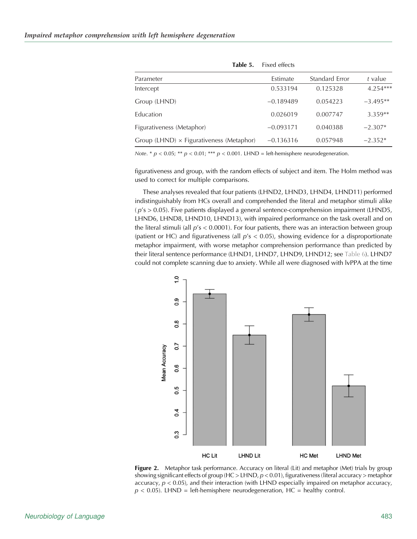<span id="page-9-0"></span>

| Estimate    | Standard Error | t value    |
|-------------|----------------|------------|
| 0.533194    | 0.125328       | $4.254***$ |
| $-0.189489$ | 0.054223       | $-3.495**$ |
| 0.026019    | 0.007747       | $3.359**$  |
| $-0.093171$ | 0.040388       | $-2.307*$  |
| $-0.136316$ | 0.057948       | $-2.352*$  |
|             |                |            |

Table 5. Fixed effects

Note. \*  $p < 0.05$ ; \*\*  $p < 0.01$ ; \*\*\*  $p < 0.001$ . LHND = left-hemisphere neurodegeneration.

figurativeness and group, with the random effects of subject and item. The Holm method was used to correct for multiple comparisons.

These analyses revealed that four patients (LHND2, LHND3, LHND4, LHND11) performed indistinguishably from HCs overall and comprehended the literal and metaphor stimuli alike  $(p's > 0.05)$ . Five patients displayed a general sentence-comprehension impairment (LHND5, LHND6, LHND8, LHND10, LHND13), with impaired performance on the task overall and on the literal stimuli (all  $p's < 0.0001$ ). For four patients, there was an interaction between group (patient or HC) and figurativeness (all  $p's < 0.05$ ), showing evidence for a disproportionate metaphor impairment, with worse metaphor comprehension performance than predicted by their literal sentence performance (LHND1, LHND7, LHND9, LHND12; see [Table 6\)](#page-10-0). LHND7 could not complete scanning due to anxiety. While all were diagnosed with lvPPA at the time



Figure 2. Metaphor task performance. Accuracy on literal (Lit) and metaphor (Met) trials by group showing significant effects of group (HC > LHND,  $p < 0.01$ ), figurativeness (literal accuracy > metaphor accuracy,  $p < 0.05$ ), and their interaction (with LHND especially impaired on metaphor accuracy,  $p < 0.05$ ). LHND = left-hemisphere neurodegeneration, HC = healthy control.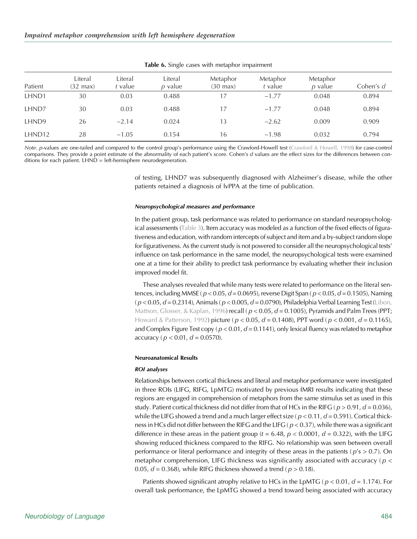<span id="page-10-0"></span>

| Patient            | Literal<br>$(32 \text{ max})$ | Literal<br>t value | Literal<br>$p$ value | Metaphor<br>$(30 \text{ max})$ | Metaphor<br>t value | Metaphor<br>p value | Cohen's d |
|--------------------|-------------------------------|--------------------|----------------------|--------------------------------|---------------------|---------------------|-----------|
| LHND1              | 30                            | 0.03               | 0.488                | 17                             | $-1.77$             | 0.048               | 0.894     |
| LHND7              | 30                            | 0.03               | 0.488                | 17                             | $-1.77$             | 0.048               | 0.894     |
| LHND9              | 26                            | $-2.14$            | 0.024                | 13                             | $-2.62$             | 0.009               | 0.909     |
| LHND <sub>12</sub> | 28                            | $-1.05$            | 0.154                | 16                             | $-1.98$             | 0.032               | 0.794     |

Table 6. Single cases with metaphor impairment

Note. p-values are one-tailed and compared to the control group's performance using the Crawford-Howell test [\(Crawford & Howell, 1998](#page-15-0)) for case-control comparisons. They provide a point estimate of the abnormality of each patient's score. Cohen's d values are the effect sizes for the differences between conditions for each patient. LHND = left-hemisphere neurodegeneration.

> of testing, LHND7 was subsequently diagnosed with Alzheimer's disease, while the other patients retained a diagnosis of lvPPA at the time of publication.

#### Neuropsychological measures and performance

In the patient group, task performance was related to performance on standard neuropsychological assessments [\(Table 3\)](#page-6-0). Item accuracy was modeled as a function of the fixed effects of figurativeness and education, with random intercepts of subject and item and a by-subject random slope for figurativeness. As the current study is not powered to consider all the neuropsychological tests' influence on task performance in the same model, the neuropsychological tests were examined one at a time for their ability to predict task performance by evaluating whether their inclusion improved model fit.

These analyses revealed that while many tests were related to performance on the literal sentences, including MMSE ( $p < 0.05$ ,  $d = 0.0695$ ), reverse Digit Span ( $p < 0.05$ ,  $d = 0.1505$ ), Naming  $(p < 0.05, d = 0.2314)$ , Animals  $(p < 0.005, d = 0.0790)$ , Philadelphia Verbal Learning Test [\(Libon,](#page-16-0) [Mattson, Glosser, & Kaplan, 1996\)](#page-16-0) recall ( $p < 0.05$ ,  $d = 0.1005$ ), Pyramids and Palm Trees (PPT; [Howard & Patterson, 1992](#page-16-0)) picture ( $p < 0.05$ ,  $d = 0.1408$ ), PPT word ( $p < 0.001$ ,  $d = 0.1165$ ), and Complex Figure Test copy ( $p < 0.01$ ,  $d = 0.1141$ ), only lexical fluency was related to metaphor accuracy ( $p < 0.01$ ,  $d = 0.0570$ ).

#### Neuroanatomical Results

#### ROI analyses

Relationships between cortical thickness and literal and metaphor performance were investigated in three ROIs (LIFG, RIFG, LpMTG) motivated by previous fMRI results indicating that these regions are engaged in comprehension of metaphors from the same stimulus set as used in this study. Patient cortical thickness did not differ from that of HCs in the RIFG ( $p > 0.91$ ,  $d = 0.036$ ), while the LIFG showed a trend and a much larger effect size ( $p < 0.11$ ,  $d = 0.591$ ). Cortical thickness in HCs did not differ between the RIFG and the LIFG ( $p < 0.37$ ), while there was a significant difference in these areas in the patient group ( $t = 6.48$ ,  $p < 0.0001$ ,  $d = 0.322$ ), with the LIFG showing reduced thickness compared to the RIFG. No relationship was seen between overall performance or literal performance and integrity of these areas in the patients ( $p's > 0.7$ ). On metaphor comprehension, LIFG thickness was significantly associated with accuracy ( $p <$ 0.05,  $d = 0.368$ ), while RIFG thickness showed a trend ( $p > 0.18$ ).

Patients showed significant atrophy relative to HCs in the LpMTG ( $p < 0.01$ ,  $d = 1.174$ ). For overall task performance, the LpMTG showed a trend toward being associated with accuracy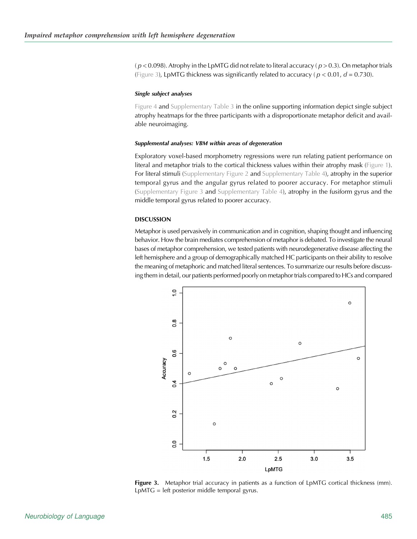$(p < 0.098)$ . Atrophy in the LpMTG did not relate to literal accuracy  $(p > 0.3)$ . On metaphor trials (Figure 3), LpMTG thickness was significantly related to accuracy ( $p < 0.01$ ,  $d = 0.730$ ).

## Single subject analyses

[Figure 4](#page-12-0) and [Supplementary Table 3](https://doi.org/10.1162/nol_a_00022) in the online supporting information depict single subject atrophy heatmaps for the three participants with a disproportionate metaphor deficit and available neuroimaging.

#### Supplemental analyses: VBM within areas of degeneration

Exploratory voxel-based morphometry regressions were run relating patient performance on literal and metaphor trials to the cortical thickness values within their atrophy mask [\(Figure 1\)](#page-7-0). For literal stimuli [\(Supplementary Figure 2](https://doi.org/10.1162/nol_a_00022) and [Supplementary Table 4\)](https://doi.org/10.1162/nol_a_00022), atrophy in the superior temporal gyrus and the angular gyrus related to poorer accuracy. For metaphor stimuli ([Supplementary Figure 3](https://doi.org/10.1162/nol_a_00022) and [Supplementary Table 4](https://doi.org/10.1162/nol_a_00022)), atrophy in the fusiform gyrus and the middle temporal gyrus related to poorer accuracy.

## **DISCUSSION**

Metaphor is used pervasively in communication and in cognition, shaping thought and influencing behavior. How the brain mediates comprehension of metaphor is debated. To investigate the neural bases of metaphor comprehension, we tested patients with neurodegenerative disease affecting the left hemisphere and a group of demographically matched HC participants on their ability to resolve the meaning of metaphoric and matched literal sentences. To summarize our results before discussing them in detail, our patients performed poorly on metaphor trials compared to HCs and compared



Figure 3. Metaphor trial accuracy in patients as a function of LpMTG cortical thickness (mm). LpMTG = left posterior middle temporal gyrus.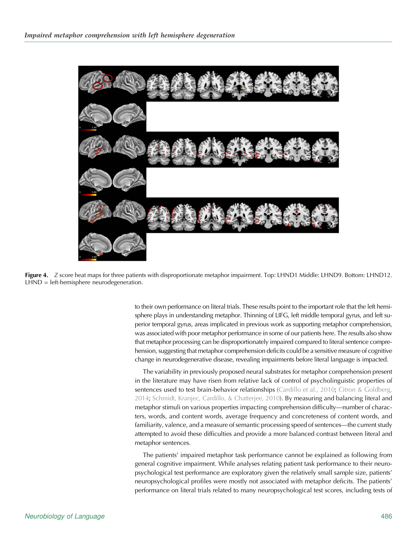<span id="page-12-0"></span>

**Figure 4.** Z score heat maps for three patients with disproportionate metaphor impairment. Top: LHND1 Middle: LHND9. Bottom: LHND12. LHND = left-hemisphere neurodegeneration.

to their own performance on literal trials. These results point to the important role that the left hemisphere plays in understanding metaphor. Thinning of LIFG, left middle temporal gyrus, and left superior temporal gyrus, areas implicated in previous work as supporting metaphor comprehension, was associated with poor metaphor performance in some of our patients here. The results also show that metaphor processing can be disproportionately impaired compared to literal sentence comprehension, suggesting that metaphor comprehension deficits could be a sensitive measure of cognitive change in neurodegenerative disease, revealing impairments before literal language is impacted.

The variability in previously proposed neural substrates for metaphor comprehension present in the literature may have risen from relative lack of control of psycholinguistic properties of sentences used to test brain-behavior relationships [\(Cardillo et al., 2010;](#page-15-0) [Citron & Goldberg,](#page-15-0) [2014;](#page-15-0) [Schmidt, Kranjec, Cardillo, & Chatterjee, 2010\)](#page-17-0). By measuring and balancing literal and metaphor stimuli on various properties impacting comprehension difficulty—number of characters, words, and content words, average frequency and concreteness of content words, and familiarity, valence, and a measure of semantic processing speed of sentences—the current study attempted to avoid these difficulties and provide a more balanced contrast between literal and metaphor sentences.

The patients' impaired metaphor task performance cannot be explained as following from general cognitive impairment. While analyses relating patient task performance to their neuropsychological test performance are exploratory given the relatively small sample size, patients' neuropsychological profiles were mostly not associated with metaphor deficits. The patients' performance on literal trials related to many neuropsychological test scores, including tests of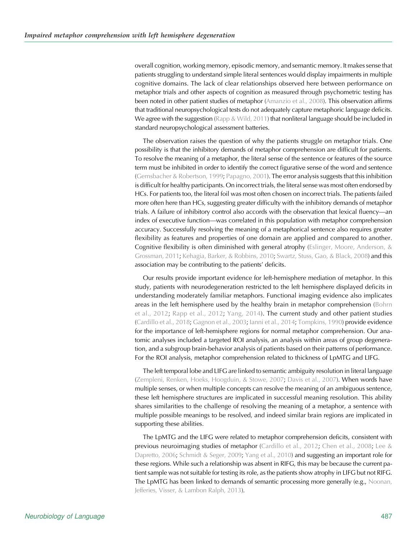overall cognition, working memory, episodic memory, and semantic memory. It makes sense that patients struggling to understand simple literal sentences would display impairments in multiple cognitive domains. The lack of clear relationships observed here between performance on metaphor trials and other aspects of cognition as measured through psychometric testing has been noted in other patient studies of metaphor [\(Amanzio et al., 2008\)](#page-15-0). This observation affirms that traditional neuropsychological tests do not adequately capture metaphoric language deficits. We agree with the suggestion (Rapp  $&$  Wild, 2011) that nonliteral language should be included in standard neuropsychological assessment batteries.

The observation raises the question of why the patients struggle on metaphor trials. One possibility is that the inhibitory demands of metaphor comprehension are difficult for patients. To resolve the meaning of a metaphor, the literal sense of the sentence or features of the source term must be inhibited in order to identify the correct figurative sense of the word and sentence ([Gernsbacher & Robertson, 1999;](#page-16-0) [Papagno, 2001](#page-16-0)). The error analysis suggests that this inhibition is difficult for healthy participants. On incorrect trials, the literal sense was most often endorsed by HCs. For patients too, the literal foil was most often chosen on incorrect trials. The patients failed more often here than HCs, suggesting greater difficulty with the inhibitory demands of metaphor trials. A failure of inhibitory control also accords with the observation that lexical fluency—an index of executive function—was correlated in this population with metaphor comprehension accuracy. Successfully resolving the meaning of a metaphorical sentence also requires greater flexibility as features and properties of one domain are applied and compared to another. Cognitive flexibility is often diminished with general atrophy [\(Eslinger, Moore, Anderson, &](#page-15-0) [Grossman, 2011;](#page-15-0) [Kehagia, Barker, & Robbins, 2010](#page-16-0); [Swartz, Stuss, Gao, & Black, 2008](#page-17-0)) and this association may be contributing to the patients' deficits.

Our results provide important evidence for left-hemisphere mediation of metaphor. In this study, patients with neurodegeneration restricted to the left hemisphere displayed deficits in understanding moderately familiar metaphors. Functional imaging evidence also implicates areas in the left hemisphere used by the healthy brain in metaphor comprehension ([Bohrn](#page-15-0) [et al., 2012](#page-15-0); [Rapp et al., 2012;](#page-16-0) [Yang, 2014](#page-17-0)). The current study and other patient studies ([Cardillo et al., 2018;](#page-15-0) [Gagnon et al., 2003](#page-16-0); [Ianni et al., 2014](#page-16-0); [Tompkins, 1990](#page-17-0)) provide evidence for the importance of left-hemisphere regions for normal metaphor comprehension. Our anatomic analyses included a targeted ROI analysis, an analysis within areas of group degeneration, and a subgroup brain-behavior analysis of patients based on their patterns of performance. For the ROI analysis, metaphor comprehension related to thickness of LpMTG and LIFG.

The left temporal lobe and LIFG are linked to semantic ambiguity resolution in literal language ([Zempleni, Renken, Hoeks, Hoogduin, & Stowe, 2007;](#page-17-0) [Davis et al., 2007](#page-15-0)). When words have multiple senses, or when multiple concepts can resolve the meaning of an ambiguous sentence, these left hemisphere structures are implicated in successful meaning resolution. This ability shares similarities to the challenge of resolving the meaning of a metaphor, a sentence with multiple possible meanings to be resolved, and indeed similar brain regions are implicated in supporting these abilities.

The LpMTG and the LIFG were related to metaphor comprehension deficits, consistent with previous neuroimaging studies of metaphor ([Cardillo et al., 2012;](#page-15-0) [Chen et al., 2008;](#page-15-0) [Lee &](#page-16-0) [Dapretto, 2006](#page-16-0); [Schmidt & Seger, 2009;](#page-17-0) [Yang et al., 2010\)](#page-17-0) and suggesting an important role for these regions. While such a relationship was absent in RIFG, this may be because the current patient sample was not suitable for testing its role, as the patients show atrophy in LIFG but not RIFG. The LpMTG has been linked to demands of semantic processing more generally (e.g., [Noonan,](#page-16-0) [Jefferies, Visser, & Lambon Ralph, 2013\)](#page-16-0).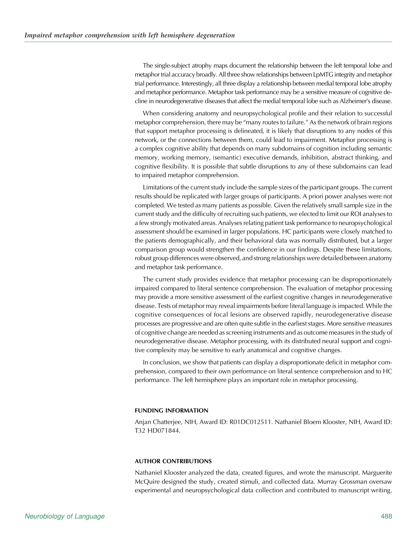The single-subject atrophy maps document the relationship between the left temporal lobe and metaphor trial accuracy broadly. All three show relationships between LpMTG integrity and metaphor trial performance. Interestingly, all three display a relationship between medial temporal lobe atrophy and metaphor performance. Metaphor task performance may be a sensitive measure of cognitive decline in neurodegenerative diseases that affect the medial temporal lobe such as Alzheimer's disease.

When considering anatomy and neuropsychological profile and their relation to successful metaphor comprehension, there may be "many routes to failure." As the network of brain regions that support metaphor processing is delineated, it is likely that disruptions to any nodes of this network, or the connections between them, could lead to impairment. Metaphor processing is a complex cognitive ability that depends on many subdomains of cognition including semantic memory, working memory, (semantic) executive demands, inhibition, abstract thinking, and cognitive flexibility. It is possible that subtle disruptions to any of these subdomains can lead to impaired metaphor comprehension.

Limitations of the current study include the sample sizes of the participant groups. The current results should be replicated with larger groups of participants. A priori power analyses were not completed. We tested as many patients as possible. Given the relatively small sample size in the current study and the difficulty of recruiting such patients, we elected to limit our ROI analyses to a few strongly motivated areas. Analyses relating patient task performance to neuropsychological assessment should be examined in larger populations. HC participants were closely matched to the patients demographically, and their behavioral data was normally distributed, but a larger comparison group would strengthen the confidence in our findings. Despite these limitations, robust group differences were observed, and strong relationships were detailed between anatomy and metaphor task performance.

The current study provides evidence that metaphor processing can be disproportionately impaired compared to literal sentence comprehension. The evaluation of metaphor processing may provide a more sensitive assessment of the earliest cognitive changes in neurodegenerative disease. Tests of metaphor may reveal impairments before literal language is impacted. While the cognitive consequences of focal lesions are observed rapidly, neurodegenerative disease processes are progressive and are often quite subtle in the earliest stages. More sensitive measures of cognitive change are needed as screening instruments and as outcome measures in the study of neurodegenerative disease. Metaphor processing, with its distributed neural support and cognitive complexity may be sensitive to early anatomical and cognitive changes.

In conclusion, we show that patients can display a disproportionate deficit in metaphor comprehension, compared to their own performance on literal sentence comprehension and to HC performance. The left hemisphere plays an important role in metaphor processing.

## FUNDING INFORMATION

Anjan Chatterjee, NIH, Award ID: R01DC012511. Nathaniel Bloem Klooster, NIH, Award ID: T32 HD071844.

## AUTHOR CONTRIBUTIONS

Nathaniel Klooster analyzed the data, created figures, and wrote the manuscript. Marguerite McQuire designed the study, created stimuli, and collected data. Murray Grossman oversaw experimental and neuropsychological data collection and contributed to manuscript writing.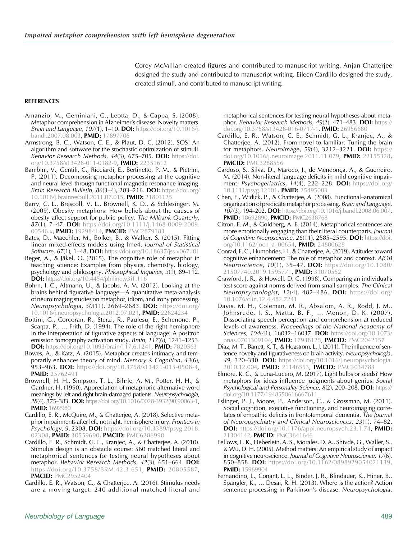Corey McMillan created figures and contributed to manuscript writing. Anjan Chatterjee designed the study and contributed to manuscript writing. Eileen Cardillo designed the study, created stimuli, and contributed to manuscript writing.

## <span id="page-15-0"></span>**REFERENCES**

- Amanzio, M., Geminiani, G., Leotta, D., & Cappa, S. (2008). Metaphor comprehension in Alzheimer's disease: Novelty matters. Brain and Language, 107(1), 1-10. DOI: [https://doi.org/10.1016/j.](https://doi.org/10.1016/j.bandl.2007.08.003) [bandl.2007.08.003,](https://doi.org/10.1016/j.bandl.2007.08.003) PMID: [17897706](https://europepmc.org/article/MED/17897706)
- Armstrong, B. C., Watson, C. E., & Plaut, D. C. (2012). SOS! An algorithm and software for the stochastic optimization of stimuli. Behavior Research Methods, 44(3), 675-705. DOI: [https://doi.](https://doi.org/10.3758/s13428-011-0182-9) [org/10.3758/s13428-011-0182-9,](https://doi.org/10.3758/s13428-011-0182-9) PMID: [22351612](https://europepmc.org/article/MED/22351612)
- Bambini, V., Gentili, C., Ricciardi, E., Bertinetto, P. M., & Pietrini, P. (2011). Decomposing metaphor processing at the cognitive and neural level through functional magnetic resonance imaging. Brain Research Bulletin, 86(3-4), 203-216. DOI: [https://doi.org/](https://doi.org/10.1016/j.brainresbull.2011.07.015) [10.1016/j.brainresbull.2011.07.015](https://doi.org/10.1016/j.brainresbull.2011.07.015), PMID: [21803125](https://europepmc.org/article/MED/21803125)
- Barry, C. L., Brescoll, V. L., Brownell, K. D., & Schlesinger, M. (2009). Obesity metaphors: How beliefs about the causes of obesity affect support for public policy. The Milbank Quarterly, 87(1), 7–47. **DOI:** [https://doi.org/10.1111/j.1468-0009.2009.](https://doi.org/10.1111/j.1468-0009.2009.00546.x) [00546.x](https://doi.org/10.1111/j.1468-0009.2009.00546.x), PMID: [19298414,](https://europepmc.org/article/MED/19298414) PMCID: [PMC2879183](https://www.ncbi.nlm.nih.gov/pmc/articles/PMC2879183)
- Bates, D., Maechler, M., Bolker, B., & Walker, S. (2015). Fitting linear mixed-effects models using lme4. Journal of Statistical Software, 67(1), 1-48. DOI: <https://doi.org/10.18637/jss.v067.i01>
- Beger, A., & Jäkel, O. (2015). The cognitive role of metaphor in teaching science: Examples from physics, chemistry, biology, psychology and philosophy. Philosophical Inquiries, 3(1), 89–112. **DOI:** https://doi.org/10.4454/philing.v3i1.116
- Bohrn, I. C., Altmann, U., & Jacobs, A. M. (2012). Looking at the brains behind figurative language—A quantitative meta-analysis of neuroimaging studies on metaphor, idiom, and irony processing. Neuropsychologia, 50(11), 2669-2683. DOI: [https://doi.org/](https://doi.org/10.1016/j.neuropsychologia.2012.07.021) [10.1016/j.neuropsychologia.2012.07.021](https://doi.org/10.1016/j.neuropsychologia.2012.07.021), PMID: [22824234](https://europepmc.org/article/MED/22824234)
- Bottini, G., Corcoran, R., Sterzi, R., Paulesu, E., Schenone, P., Scarpa, P., … Frith, D. (1994). The role of the right hemisphere in the interpretation of figurative aspects of language: A positron emission tomography activation study. Brain, 117(6), 1241-1253. **DOI:** [https://doi.org/10.1093/brain/117.6.1241,](https://doi.org/10.1093/brain/117.6.1241) PMID: [7820563](https://europepmc.org/article/MED/7820563)
- Bowes, A., & Katz, A. (2015). Metaphor creates intimacy and temporarily enhances theory of mind. Memory & Cognition, 43(6), **953–963. DOI:** [https://doi.org/10.3758/s13421-015-0508-4,](https://doi.org/10.3758/s13421-015-0508-4) PMID: [25762491](https://europepmc.org/article/MED/25762491)
- Brownell, H. H., Simpson, T. L., Bihrle, A. M., Potter, H. H., & Gardner, H. (1990). Appreciation of metaphoric alternative word meanings by left and right brain-damaged patients. Neuropsychologia, 28(4), 375–383. DOI: [https://doi.org/10.1016/0028-3932\(90\)90063-T,](https://doi.org/10.1016/0028-3932(90)90063-T) **PMID:** [1692980](https://europepmc.org/article/MED/1692980)
- Cardillo, E. R., McQuire, M., & Chatterjee, A. (2018). Selective metaphor impairments after left, not right, hemisphere injury. Frontiers in **Psychology, 9, 2308. DOI:** [https://doi.org/10.3389/fpsyg.2018.](https://doi.org/10.3389/fpsyg.2018.02308) [02308](https://doi.org/10.3389/fpsyg.2018.02308), PMID: [30559690](https://europepmc.org/article/MED/30559690), PMCID: [PMC6286990](https://www.ncbi.nlm.nih.gov/pmc/articles/PMC6286990)
- Cardillo, E. R., Schmidt, G. L., Kranjec, A., & Chatterjee, A. (2010). Stimulus design is an obstacle course: 560 matched literal and metaphorical sentences for testing neural hypotheses about metaphor. Behavior Research Methods, 42(3), 651–664. DOI: <https://doi.org/10.3758/BRM.42.3.651>, PMID: [20805587,](https://europepmc.org/article/MED/20805587) **PMCID: [PMC2952404](https://www.ncbi.nlm.nih.gov/pmc/articles/PMC2952404)**
- Cardillo, E. R., Watson, C., & Chatterjee, A. (2016). Stimulus needs are a moving target: 240 additional matched literal and

metaphorical sentences for testing neural hypotheses about metaphor. Behavior Research Methods, 49(2), 471-483. DOI: [https://](https://doi.org/10.3758/s13428-016-0717-1) [doi.org/10.3758/s13428-016-0717-1,](https://doi.org/10.3758/s13428-016-0717-1) PMID: [26956680](https://europepmc.org/article/MED/26956680)

- Cardillo, E. R., Watson, C. E., Schmidt, G. L., Kranjec, A., & Chatterjee, A. (2012). From novel to familiar: Tuning the brain for metaphors. NeuroImage, 59(4), 3212-3221. DOI: [https://](https://doi.org/10.1016/j.neuroimage.2011.11.079) [doi.org/10.1016/j.neuroimage.2011.11.079](https://doi.org/10.1016/j.neuroimage.2011.11.079), PMID: [22155328,](https://europepmc.org/article/MED/22155328) **PMCID: [PMC3288556](https://www.ncbi.nlm.nih.gov/pmc/articles/PMC3288556)**
- Cardoso, S., Silva, D., Maroco, J., de Mendonça, A., & Guerreiro, M. (2014). Non-literal language deficits in mild cognitive impairment. Psychogeriatrics, 14(4), 222-228. DOI: [https://doi.org/](https://doi.org/10.1111/psyg.12101) [10.1111/psyg.12101,](https://doi.org/10.1111/psyg.12101) PMID: [25495083](https://europepmc.org/article/MED/25495083)
- Chen, E., Widick, P., & Chatterjee, A. (2008). Functional–anatomical organization of predicate metaphor processing. Brain and Language, 107(3), 194-202. DOI: [https://doi.org/10.1016/j.bandl.2008.06.007,](https://doi.org/10.1016/j.bandl.2008.06.007) PMID: [18692890,](https://europepmc.org/article/MED/18692890) PMCID: [PMC2638768](https://www.ncbi.nlm.nih.gov/pmc/articles/PMC2638768)
- Citron, F. M., & Goldberg, A. E. (2014). Metaphorical sentences are more emotionally engaging than their literal counterparts. Journal of Cognitive Neuroscience, 26(11), 2585-2595. DOI: [https://doi.](https://doi.org/10.1162/jocn_a_00654) [org/10.1162/jocn\\_a\\_00654,](https://doi.org/10.1162/jocn_a_00654) PMID: [24800628](https://europepmc.org/article/MED/24800628)
- Conrad, E. C., Humphries, H., & Chatterjee, A. (2019). Attitudes toward cognitive enhancement: The role of metaphor and context. AJOB Neuroscience, 10(1), 35-47. **DOI:** [https://doi.org/10.1080/](https://doi.org/10.1080/21507740.2019.1595771) [21507740.2019.1595771](https://doi.org/10.1080/21507740.2019.1595771), PMID: [31070552](https://europepmc.org/article/MED/31070552)
- Crawford, J. R., & Howell, D. C. (1998). Comparing an individual's test score against norms derived from small samples. The Clinical Neuropsychologist, 12(4), 482-486. DOI: [https://doi.org/](https://doi.org/10.1076/clin.12.4.482.7241) [10.1076/clin.12.4.482.7241](https://doi.org/10.1076/clin.12.4.482.7241)
- Davis, M. H., Coleman, M. R., Absalom, A. R., Rodd, J. M., Johnsrude, I. S., Matta, B. F., … Menon, D. K. (2007). Dissociating speech perception and comprehension at reduced levels of awareness. Proceedings of the National Academy of Sciences, 104(41), 16032-16037. DOI: https://doi.org/10.107 [pnas.0701309104](https://doi.org/10.1073/pnas.0701309104), PMID: [17938125,](https://europepmc.org/article/MED/17938125) PMCID: [PMC2042157](https://www.ncbi.nlm.nih.gov/pmc/articles/PMC2042157)
- Diaz, M. T., Barrett, K. T., & Hogstrom, L. J. (2011). The influence of sentence novelty and figurativeness on brain activity. Neuropsychologia, 49, 320–330. DOI: [https://doi.org/10.1016/j.neuropsychologia.](https://doi.org/10.1016/j.neuropsychologia.2010.12.004) [2010.12.004](https://doi.org/10.1016/j.neuropsychologia.2010.12.004), PMID: [21146553](https://europepmc.org/article/MED/21146553), PMCID: [PMC3034783](https://www.ncbi.nlm.nih.gov/pmc/articles/PMC3034783)
- Elmore, K. C., & Luna-Lucero, M. (2017). Light bulbs or seeds? How metaphors for ideas influence judgments about genius. Social Psychological and Personality Science, 8(2), 200-208. DOI: [https://](https://doi.org/10.1177/1948550616667611) [doi.org/10.1177/1948550616667611](https://doi.org/10.1177/1948550616667611)
- Eslinger, P. J., Moore, P., Anderson, C., & Grossman, M. (2011). Social cognition, executive functioning, and neuroimaging correlates of empathic deficits in frontotemporal dementia. The Journal of Neuropsychiatry and Clinical Neurosciences, 23(1), 74–82. **DOI:** [https://doi.org/10.1176/appi.neuropsych.23.1.74,](https://doi.org/10.1176/appi.neuropsych.23.1.74) **PMID:** [21304142,](https://europepmc.org/article/MED/21304142) PMCID: [PMC3641646](https://www.ncbi.nlm.nih.gov/pmc/articles/PMC3641646)
- Fellows, L. K., Heberlein, A. S., Morales, D. A., Shivde, G., Waller, S., & Wu, D. H. (2005). Method matters: An empirical study of impact in cognitive neuroscience. Journal of Cognitive Neuroscience, 17(6), 850–858. DOI: [https://doi.org/10.1162/0898929054021139,](https://doi.org/10.1162/0898929054021139) PMID: [15969904](https://europepmc.org/article/MED/15969904)
- Fernandino, L., Conant, L. L., Binder, J. R., Blindauer, K., Hiner, B., Spangler, K., … Desai, R. H. (2013). Where is the action? Action sentence processing in Parkinson's disease. Neuropsychologia,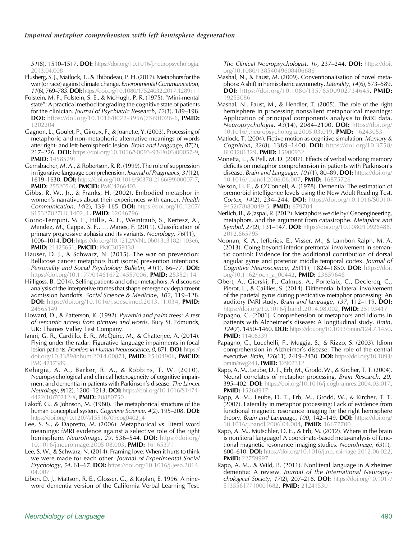<span id="page-16-0"></span>51(8), 1510–1517. DOI: [https://doi.org/10.1016/j.neuropsychologia.](https://doi.org/10.1016/j.neuropsychologia.2013.04.008) [2013.04.008](https://doi.org/10.1016/j.neuropsychologia.2013.04.008)

- Flusberg, S. J., Matlock, T., & Thibodeau, P. H. (2017). Metaphors for the war (or race) against climate change. Environmental Communication, 11(6), 769–783. DOI: <https://doi.org/10.1080/17524032.2017.1289111>
- Folstein, M. F., Folstein, S. E., & McHugh, P. R. (1975). "Mini-mental state": A practical method for grading the cognitive state of patients for the clinician. Journal of Psychiatric Research, 12(3), 189–198. DOI: [https://doi.org/10.1016/0022-3956\(75\)90026-6](https://doi.org/10.1016/0022-3956(75)90026-6), PMID: [1202204](https://europepmc.org/article/MED/1202204)
- Gagnon, L., Goulet, P., Giroux, F., & Joanette, Y. (2003). Processing of metaphoric and non-metaphoric alternative meanings of words after right- and left-hemispheric lesion. Brain and Language, 87(2), 217–226. DOI: [https://doi.org/10.1016/S0093-934X\(03\)00057-9,](https://doi.org/10.1016/S0093-934X(03)00057-9) **PMID:** [14585291](https://europepmc.org/article/MED/14585291)
- Gernsbacher, M. A., & Robertson, R. R. (1999). The role of suppression in figurative language comprehension. Journal of Pragmatics, 31(12), 1619–1630. DOI: [https://doi.org/10.1016/S0378-2166\(99\)00007-7,](https://doi.org/10.1016/S0378-2166(99)00007-7) PMID: [25520540,](https://europepmc.org/article/MED/25520540) PMCID: [PMC4266403](https://www.ncbi.nlm.nih.gov/pmc/articles/PMC4266403)
- Gibbs, R. W., Jr., & Franks, H. (2002). Embodied metaphor in women's narratives about their experiences with cancer. Health Communication, 14(2), 139-165. DOI: [https://doi.org/10.1207/](https://doi.org/10.1207/S15327027HC1402_1) [S15327027HC1402\\_1](https://doi.org/10.1207/S15327027HC1402_1), PMID: [12046796](https://europepmc.org/article/MED/12046796)
- Gorno-Tempini, M. L., Hillis, A. E., Weintraub, S., Kertesz, A., Mendez, M., Cappa, S. F., … Manes, F. (2011). Classification of primary progressive aphasia and its variants. Neurology, 76(11), 1006–1014.DOI: [https://doi.org/10.1212/WNL.0b013e31821103e6,](https://doi.org/10.1212/WNL.0b013e31821103e6) PMID: [21325651](https://europepmc.org/article/MED/21325651), PMCID: [PMC3059138](https://www.ncbi.nlm.nih.gov/pmc/articles/PMC3059138)
- Hauser, D. J., & Schwarz, N. (2015). The war on prevention: Bellicose cancer metaphors hurt (some) prevention intentions. Personality and Social Psychology Bulletin, 41(1), 66-77. DOI: <https://doi.org/10.1177/0146167214557006>, PMID: [25352114](https://europepmc.org/article/MED/25352114)
- Hilligoss, B. (2014). Selling patients and other metaphors: A discourse analysis of the interpretive frames that shape emergency department admission handoffs. Social Science & Medicine, 102, 119–128. **DOI:** <https://doi.org/10.1016/j.socscimed.2013.11.034>, PMID: [24565149](https://europepmc.org/article/MED/24565149)
- Howard, D., & Patterson, K. (1992). Pyramid and palm trees: A test of semantic access from pictures and words. Bury St. Edmunds, UK: Thames Valley Test Company.
- Ianni, G. R., Cardillo, E. R., McQuire, M., & Chatterjee, A. (2014). Flying under the radar: Figurative language impairments in focal lesion patients. Frontiers in Human Neuroscience, 8, 871. **DOI:** [https://](https://doi.org/10.3389/fnhum.2014.00871) [doi.org/10.3389/fnhum.2014.00871,](https://doi.org/10.3389/fnhum.2014.00871) PMID: [25404906,](https://europepmc.org/article/MED/25404906) PMCID: [PMC4217389](https://www.ncbi.nlm.nih.gov/pmc/articles/PMC4217389)
- Kehagia, A. A., Barker, R. A., & Robbins, T. W. (2010). Neuropsychological and clinical heterogeneity of cognitive impairment and dementia in patients with Parkinson's disease. The Lancet Neurology, 9(12), 1200-1213. DOI: [https://doi.org/10.1016/S1474-](https://doi.org/10.1016/S1474-4422(10)70212-X) [4422\(10\)70212-X](https://doi.org/10.1016/S1474-4422(10)70212-X), PMID: [20880750](https://europepmc.org/article/MED/20880750)
- Lakoff, G., & Johnson, M. (1980). The metaphorical structure of the human conceptual system. Cognitive Science, 4(2), 195-208. DOI: [https://doi.org/10.1207/s15516709cog0402\\_4](https://doi.org/10.1207/s15516709cog0402_4)
- Lee, S. S., & Dapretto, M. (2006). Metaphorical vs. literal word meanings: fMRI evidence against a selective role of the right hemisphere. NeuroImage, 29, 536-544. DOI: [https://doi.org/](https://doi.org/10.1016/j.neuroimage.2005.08.003) [10.1016/j.neuroimage.2005.08.003,](https://doi.org/10.1016/j.neuroimage.2005.08.003) PMID: [16165371](https://europepmc.org/article/MED/16165371)
- Lee, S. W., & Schwarz, N. (2014). Framing love: When it hurts to think we were made for each other. Journal of Experimental Social Psychology, 54, 61–67. DOI: [https://doi.org/10.1016/j.jesp.2014.](https://doi.org/10.1016/j.jesp.2014.04.007) [04.007](https://doi.org/10.1016/j.jesp.2014.04.007)
- Libon, D. J., Mattson, R. E., Glosser, G., & Kaplan, E. 1996. A nineword dementia version of the California Verbal Learning Test.

The Clinical Neuropsychologist, 10, 237-244. DOI: [https://doi.](https://doi.org/10.1080/13854049608406686) [org/10.1080/13854049608406686](https://doi.org/10.1080/13854049608406686)

- Mashal, N., & Faust, M. (2009). Conventionalisation of novel metaphors: A shift in hemispheric asymmetry. Laterality, 14(6), 573–589. **DOI:** <https://doi.org/10.1080/13576500902734645>, **PMID:** [19253086](https://europepmc.org/article/MED/19253086)
- Mashal, N., Faust, M., & Hendler, T. (2005). The role of the right hemisphere in processing nonsalient metaphorical meanings: Application of principal components analysis to fMRI data. Neuropsychologia, 43(14), 2084–2100. DOI: [https://doi.org/](https://doi.org/10.1016/j.neuropsychologia.2005.03.019) [10.1016/j.neuropsychologia.2005.03.019](https://doi.org/10.1016/j.neuropsychologia.2005.03.019), PMID: [16243053](https://europepmc.org/article/MED/16243053)
- Matlock, T. (2004). Fictive motion as cognitive simulation. Memory & Cognition, 32(8), 1389-1400. DOI: [https://doi.org/10.3758/](https://doi.org/10.3758/BF03206329) [BF03206329,](https://doi.org/10.3758/BF03206329) PMID: [15900932](https://europepmc.org/article/MED/15900932)
- Monetta, L., & Pell, M. D. (2007). Effects of verbal working memory deficits on metaphor comprehension in patients with Parkinson's disease. Brain and Language, 101(1), 80-89. DOI: [https://doi.org/](https://doi.org/10.1016/j.bandl.2006.06.007) [10.1016/j.bandl.2006.06.007,](https://doi.org/10.1016/j.bandl.2006.06.007) PMID: [16875726](https://europepmc.org/article/MED/16875726)
- Nelson, H. E., & O'Connell, A. (1978). Dementia: The estimation of premorbid intelligence levels using the New Adult Reading Test. Cortex, 14(2), 234-244. **DOI:** [https://doi.org/10.1016/S0010-](https://doi.org/10.1016/S0010-9452(78)80049-5) [9452\(78\)80049-5,](https://doi.org/10.1016/S0010-9452(78)80049-5) PMID: [679704](https://europepmc.org/article/MED/679704)
- Nerlich, B., & Jaspal, R. (2012). Metaphors we die by? Geoengineering, metaphors, and the argument from catastrophe. Metaphor and Symbol, 27(2), 131-147. DOI: [https://doi.org/10.1080/10926488.](https://doi.org/10.1080/10926488.2012.665795) [2012.665795](https://doi.org/10.1080/10926488.2012.665795)
- Noonan, K. A., Jefferies, E., Visser, M., & Lambon Ralph, M. A. (2013). Going beyond inferior prefrontal involvement in semantic control: Evidence for the additional contribution of dorsal angular gyrus and posterior middle temporal cortex. Journal of Cognitive Neuroscience, 25(11), 1824-1850. DOI: [https://doi.](https://doi.org/10.1162/jocn_a_00442) [org/10.1162/jocn\\_a\\_00442,](https://doi.org/10.1162/jocn_a_00442) **PMID:** [23859646](https://europepmc.org/article/MED/23859646)
- Obert, A., Gierski, F., Calmus, A., Portefaix, C., Declercq, C., Pierot, L., & Caillies, S. (2014). Differential bilateral involvement of the parietal gyrus during predicative metaphor processing: An auditory fMRI study. Brain and language, 137, 112-119. DOI: [https://doi.org/10.1016/j.bandl.2014.08.002,](https://doi.org/10.1016/j.bandl.2014.08.002) PMID: 25193411
- Papagno, C. (2001). Comprehension of metaphors and idioms in patients with Alzheimer's disease: A longitudinal study. Brain, 124(7), 1450-1460. DOI: [https://doi.org/10.1093/brain/124.7.1450,](https://doi.org/10.1093/brain/124.7.1450) PMID: [11408339](https://europepmc.org/article/MED/11408339)
- Papagno, C., Lucchelli, F., Muggia, S., & Rizzo, S. (2003). Idiom comprehension in Alzheimer's disease: The role of the central executive. Brain, 126(11), 2419–2430. **DOI:** [https://doi.org/10.1093/](https://doi.org/10.1093/brain/awg243) [brain/awg243](https://doi.org/10.1093/brain/awg243), **PMID:** [12902312](https://europepmc.org/article/MED/12902312)
- Rapp, A. M., Leube, D. T., Erb, M., Grodd, W., & Kircher, T. T. (2004). Neural correlates of metaphor processing. Brain Research, 20, **395–402. DOI:** https://doi.org/10.1016/j.cogbrainres.2004.03.017**, PMID:** [15268917](https://europepmc.org/article/MED/15268917)
- Rapp, A. M., Leube, D. T., Erb, M., Grodd, W., & Kircher, T. T. (2007). Laterality in metaphor processing: Lack of evidence from functional magnetic resonance imaging for the right hemisphere theory. Brain and Language, 100, 142-149. DOI: [https://doi.org/](https://doi.org/10.1016/j.bandl.2006.04.004) [10.1016/j.bandl.2006.04.004,](https://doi.org/10.1016/j.bandl.2006.04.004) PMID: [16677700](https://europepmc.org/article/MED/16677700)
- Rapp, A. M., Mutschler, D. E., & Erb, M. (2012). Where in the brain is nonliteral language? A coordinate-based meta-analysis of functional magnetic resonance imaging studies. Neurolmage, 63(1), 600–610. DOI: [https://doi.org/10.1016/j.neuroimage.2012.06.022,](https://doi.org/10.1016/j.neuroimage.2012.06.022) PMID: [22759997](https://europepmc.org/article/MED/22759997)
- Rapp, A. M., & Wild, B. (2011). Nonliteral language in Alzheimer dementia: A review. Journal of the International Neuropsychological Society, 17(2), 207–218. DOI: [https://doi.org/10.1017/](https://doi.org/10.1017/S1355617710001682) [S1355617710001682](https://doi.org/10.1017/S1355617710001682), PMID: [21241530](https://europepmc.org/article/MED/21241530)